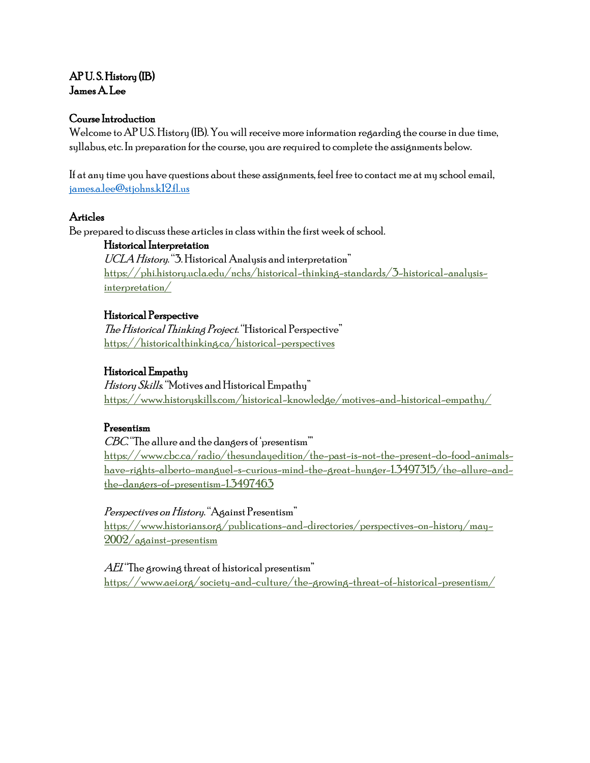# AP U. S. History (IB) James A. Lee

# Course Introduction

Welcome to AP U.S. History (IB). You will receive more information regarding the course in due time, syllabus, etc. In preparation for the course, you are required to complete the assignments below.

If at any time you have questions about these assignments, feel free to contact me at my school email, [james.a.lee@stjohns.k12.fl.us](mailto:james.a.lee@stjohns.k12.fl.us)

### Articles

Be prepared to discuss these articles in class within the first week of school.

### Historical Interpretation

UCLA History. "3. Historical Analysis and interpretation" [https://phi.history.ucla.edu/nchs/historical-thinking-standards/3-historical-analysis](https://phi.history.ucla.edu/nchs/historical-thinking-standards/3-historical-analysis-interpretation/)[interpretation/](https://phi.history.ucla.edu/nchs/historical-thinking-standards/3-historical-analysis-interpretation/)

### Historical Perspective

The Historical Thinking Project. "Historical Perspective" <https://historicalthinking.ca/historical-perspectives>

# Historical Empathy

History Skills. "Motives and Historical Empathy" <https://www.historyskills.com/historical-knowledge/motives-and-historical-empathy/>

# Presentism

CBC. "The allure and the dangers of 'presentism'" [https://www.cbc.ca/radio/thesundayedition/the-past-is-not-the-present-do-food-animals](https://www.cbc.ca/radio/thesundayedition/the-past-is-not-the-present-do-food-animals-have-rights-alberto-manguel-s-curious-mind-the-great-hunger-1.3497315/the-allure-and-the-dangers-of-presentism-1.3497463)[have-rights-alberto-manguel-s-curious-mind-the-great-hunger-1.3497315/the-allure-and](https://www.cbc.ca/radio/thesundayedition/the-past-is-not-the-present-do-food-animals-have-rights-alberto-manguel-s-curious-mind-the-great-hunger-1.3497315/the-allure-and-the-dangers-of-presentism-1.3497463)[the-dangers-of-presentism-1.3497463](https://www.cbc.ca/radio/thesundayedition/the-past-is-not-the-present-do-food-animals-have-rights-alberto-manguel-s-curious-mind-the-great-hunger-1.3497315/the-allure-and-the-dangers-of-presentism-1.3497463)

# Perspectives on History. "Against Presentism"

[https://www.historians.org/publications-and-directories/perspectives-on-history/may-](https://www.historians.org/publications-and-directories/perspectives-on-history/may-2002/against-presentism)[2002/against-presentism](https://www.historians.org/publications-and-directories/perspectives-on-history/may-2002/against-presentism)

 $AEL$  The growing threat of historical presentism" <https://www.aei.org/society-and-culture/the-growing-threat-of-historical-presentism/>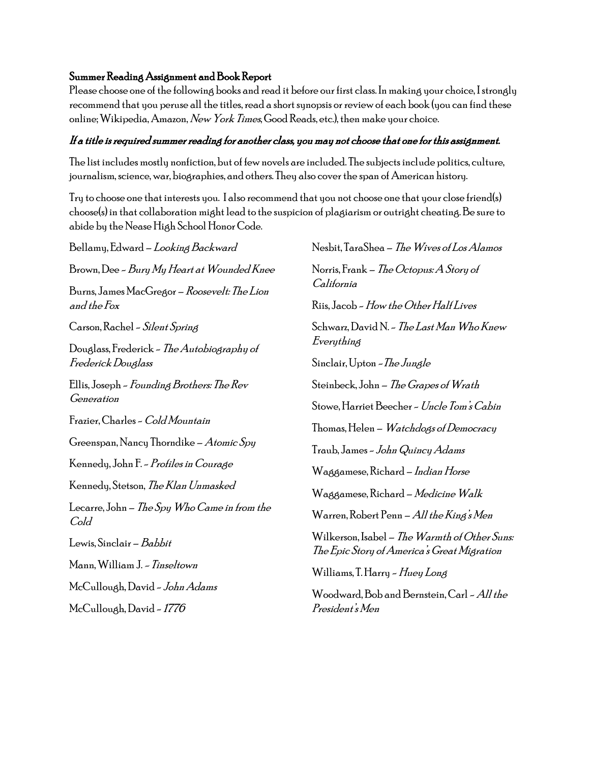# Summer Reading Assignment and Book Report

Please choose one of the following books and read it before our first class. In making your choice, I strongly recommend that you peruse all the titles, read a short synopsis or review of each book (you can find these online; Wikipedia, Amazon, New York Times, Good Reads, etc.), then make your choice.

# If a title is required summer reading for another class, you may not choose that one for this assignment.

The list includes mostly nonfiction, but of few novels are included. The subjects include politics, culture, journalism, science, war, biographies, and others. They also cover the span of American history.

Try to choose one that interests you. I also recommend that you not choose one that your close friend(s) choose(s) in that collaboration might lead to the suspicion of plagiarism or outright cheating. Be sure to abide by the Nease High School Honor Code.

Bellamy, Edward – Looking Backward Brown, Dee - Bury My Heart at Wounded Knee Burns, James MacGregor – Roosevelt: The Lion and the Fox Carson, Rachel - Silent Spring Douglass, Frederick - The Autobiography of Frederick Douglass Ellis, Joseph - Founding Brothers: The Rev Generation Frazier, Charles - Cold Mountain Greenspan, Nancy Thorndike – Atomic Spy Kennedy, John F. - Profiles in Courage Kennedy, Stetson, The Klan Unmasked Lecarre, John – The Spy Who Came in from the Cold Lewis, Sinclair – Babbit Mann, William J. - Tinseltown McCullough, David - John Adams McCullough, David - 1776 Nesbit, TaraShea – The Wives of Los Alamos Norris, Frank – The Octopus: A Story of California Riis, Jacob - How the Other Half Lives Schwarz, David N. - *The Last Man Who Knew* Everything Sinclair, Upton - The Jungle Steinbeck, John – The Grapes of Wrath Stowe, Harriet Beecher - Uncle Tom's Cabin Thomas, Helen – *Watchdogs of Democracy* Traub, James - John Quincy Adams Waggamese, Richard – Indian Horse Waggamese, Richard – Medicine Walk Warren, Robert Penn – All the King's Men Wilkerson, Isabel – The Warmth of Other Suns: The Epic Story of America's Great Migration Williams, T. Harry - Huey Long Woodward, Bob and Bernstein, Carl - All the President's Men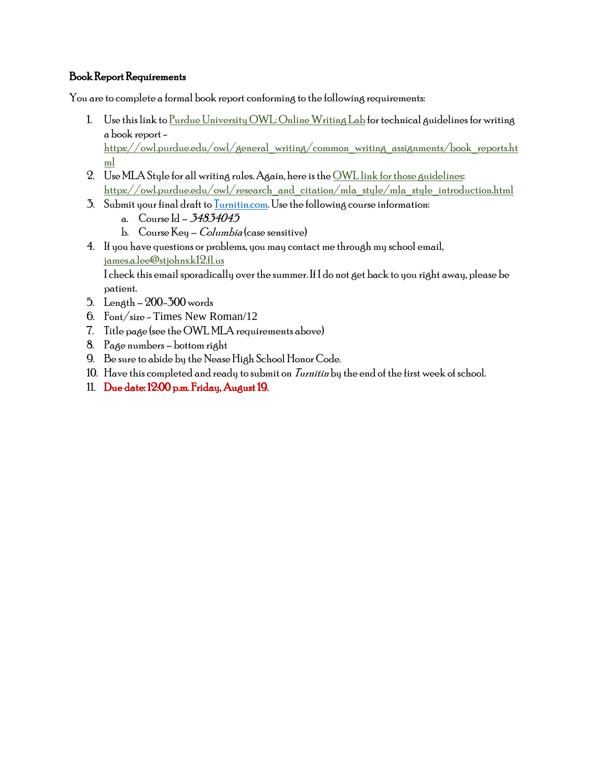# Book Report Requirements

You are to complete a formal book report conforming to the following requirements:

- 1. Use this link t[o Purdue University OWL: Online Writing Lab](https://owl.purdue.edu/owl/general_writing/common_writing_assignments/book_reports.html) for technical guidelines for writing a book report [https://owl.purdue.edu/owl/general\\_writing/common\\_writing\\_assignments/book\\_reports.ht](https://owl.purdue.edu/owl/general_writing/common_writing_assignments/book_reports.html) [ml](https://owl.purdue.edu/owl/general_writing/common_writing_assignments/book_reports.html)
- 2. Use MLA Style for all writing rules. Again, here is th[e OWL link for those guidelines:](https://owl.purdue.edu/owl/research_and_citation/mla_style/mla_style_introduction.html) [https://owl.purdue.edu/owl/research\\_and\\_citation/mla\\_style/mla\\_style\\_introduction.html](https://owl.purdue.edu/owl/research_and_citation/mla_style/mla_style_introduction.html)
- 3. Submit your final draft t[o Turnitin.com.](file:///C:/Users/e001159/AppData/Local/Microsoft/Windows/INetCache/Content.Outlook/AS87XP7Q/turnitin.com) Use the following course information:
	- a. Course Id 34834045
	- b. Course Key *Columbia* (case sensitive)
- 4. If you have questions or problems, you may contact me through my school email, [james.a.lee@stjohns.k12.fl.us](mailto:james.a.lee@stjohns.k12.fl.us)

I check this email sporadically over the summer. If I do not get back to you right away, please be patient.

- 5. Length 200-300 words
- 6. Font/size Times New Roman/12
- 7. Title page (see the OWL MLA requirements above)
- 8. Page numbers bottom right
- 9. Be sure to abide by the Nease High School Honor Code.
- 10. Have this completed and ready to submit on  $\overline{I}\overline{ur}$  the end of the first week of school.
- 11. Due date: 12:00 p.m. Friday, August 19.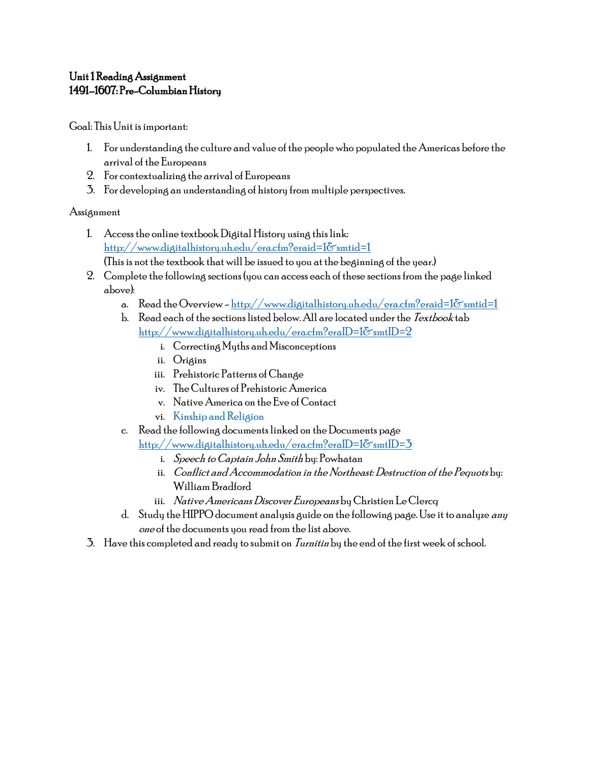# Unit 1 Reading Assignment 1491–1607: Pre-Columbian History

Goal: This Unit is important:

- 1. For understanding the culture and value of the people who populated the Americas before the arrival of the Europeans
- 2. For contextualizing the arrival of Europeans
- 3. For developing an understanding of history from multiple perspectives.

# Assignment

- 1. Access the online textbook Digital History using this link: <http://www.digitalhistory.uh.edu/era.cfm?eraid=1&smtid=1> (This is not the textbook that will be issued to you at the beginning of the year.)
- 2. Complete the following sections (you can access each of these sections from the page linked above):
	- a. Read the Overview http://www.digitalhistory.uh.edu/era.cfm?eraid=1 $\delta$ smtid=1
	- b. Read each of the sections listed below. All are located under the Textbook tab  ${\rm http://www.di$jital history.uh.edu/era.cfm?eralD=1}$ &smtID=2
		- i. Correcting Myths and Misconceptions
		- ii. [Origins](http://www.digitalhistory.uh.edu/disp_textbook.cfm?smtID=2&psid=3562)
		- iii. [Prehistoric Patterns of Change](http://www.digitalhistory.uh.edu/disp_textbook.cfm?smtID=2&psid=3563)
		- iv. [The Cultures of Prehistoric America](http://www.digitalhistory.uh.edu/disp_textbook.cfm?smtID=2&psid=3564)
		- v. [Native America on the Eve of](http://www.digitalhistory.uh.edu/disp_textbook.cfm?smtID=2&psid=3565) Contact
		- vi. [Kinship and Religion](http://www.digitalhistory.uh.edu/disp_textbook.cfm?smtID=2&psid=3566)
	- c. Read the following documents linked on the Documents page

<http://www.digitalhistory.uh.edu/era.cfm?eraID=1&smtID=3>

- i. Speech to Captain John Smith by: Powhatan
- ii. Conflict and Accommodation in the Northeast: Destruction of the Pequots by: William Bradford
- iii. Native Americans Discover Europeans by Christien Le Clercq
- d. Study the HIPPO document analysis guide on the following page. Use it to analyze any one of the documents you read from the list above.
- 3. Have this completed and ready to submit on *Turnitin* by the end of the first week of school.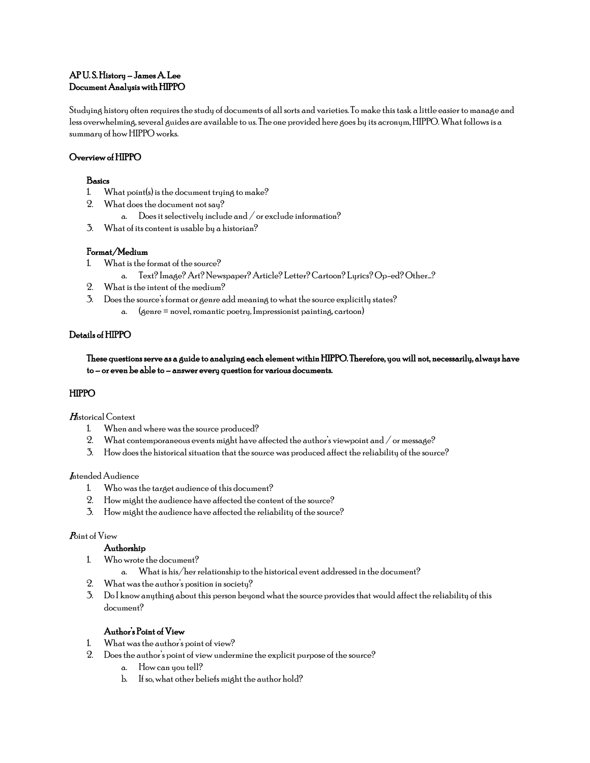### AP U. S. History – James A. Lee Document Analysis with HIPPO

Studying history often requires the study of documents of all sorts and varieties. To make this task a little easier to manage and less overwhelming, several guides are available to us. The one provided here goes by its acronym, HIPPO. What follows is a summary of how HIPPO works.

### Overview of HIPPO

### Basics

- 1. What point(s) is the document trying to make?
- 2. What does the document not say?
	- a. Does it selectively include and / or exclude information?
- 3. What of its content is usable by a historian?

### Format/Medium

- 1. What is the format of the source?
	- a. Text? Image? Art? Newspaper? Article? Letter? Cartoon? Lyrics? Op-ed? Other…?
- 2. What is the intent of the medium?
- 3. Does the source's format or genre add meaning to what the source explicitly states?
	- a. (genre = novel, romantic poetry, Impressionist painting, cartoon)

### Details of HIPPO

These questions serve as a guide to analyzing each element within HIPPO. Therefore, you will not, necessarily, always have to – or even be able to – answer every question for various documents.

### HIPPO

### Historical Context

- 1. When and where was the source produced?
- 2. What contemporaneous events might have affected the author's viewpoint and / or message?
- 3. How does the historical situation that the source was produced affect the reliability of the source?

### **Intended Audience**

- 1. Who was the target audience of this document?
- 2. How might the audience have affected the content of the source?
- 3. How might the audience have affected the reliability of the source?

### Point of View

#### Authorship

- 1. Who wrote the document?
	- a. What is his/her relationship to the historical event addressed in the document?
- 2. What was the author's position in society?
- 3. Do I know anything about this person beyond what the source provides that would affect the reliability of this document?

### Author's Point of View

- 1. What was the author's point of view?
- 2. Does the author's point of view undermine the explicit purpose of the source?
	- a. How can you tell?
	- b. If so, what other beliefs might the author hold?